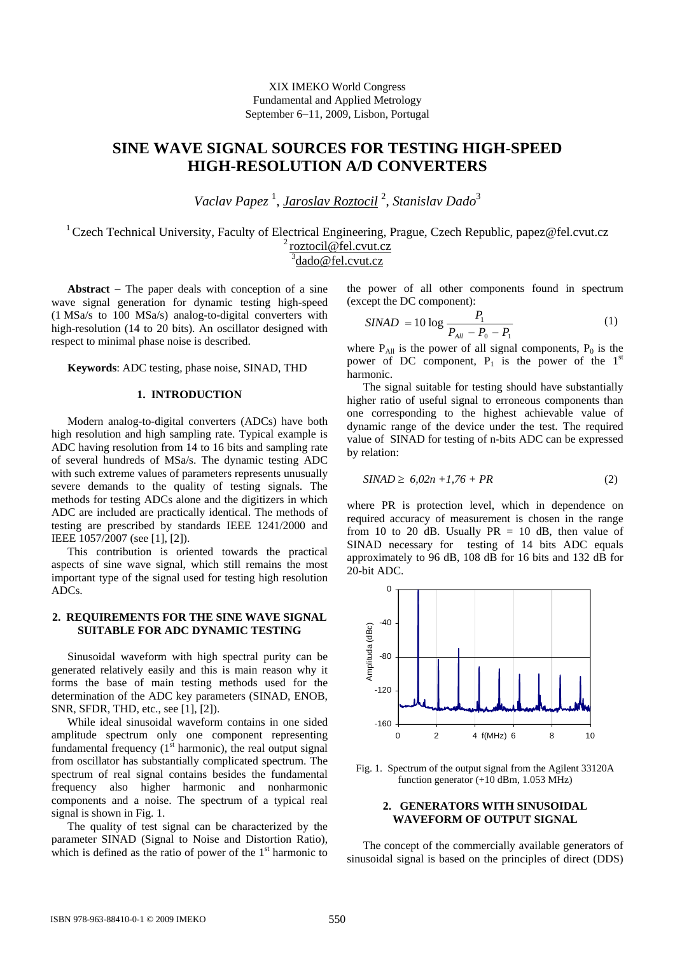# **SINE WAVE SIGNAL SOURCES FOR TESTING HIGH-SPEED HIGH-RESOLUTION A/D CONVERTERS**

*Vaclav Papez* <sup>1</sup> , *Jaroslav Roztocil* <sup>2</sup> , *Stanislav Dado*<sup>3</sup>

<sup>1</sup> Czech Technical University, Faculty of Electrical Engineering, Prague, Czech Republic, papez@fel.cvut.cz <sup>2</sup> roztocil@fel.cvut.cz <sup>3</sup>dado@fel.cvut.cz

**Abstract** − The paper deals with conception of a sine wave signal generation for dynamic testing high-speed (1 MSa/s to 100 MSa/s) analog-to-digital converters with high-resolution (14 to 20 bits). An oscillator designed with respect to minimal phase noise is described.

**Keywords**: ADC testing, phase noise, SINAD, THD

#### **1. INTRODUCTION**

Modern analog-to-digital converters (ADCs) have both high resolution and high sampling rate. Typical example is ADC having resolution from 14 to 16 bits and sampling rate of several hundreds of MSa/s. The dynamic testing ADC with such extreme values of parameters represents unusually severe demands to the quality of testing signals. The methods for testing ADCs alone and the digitizers in which ADC are included are practically identical. The methods of testing are prescribed by standards IEEE 1241/2000 and IEEE 1057/2007 (see [1], [2]).

This contribution is oriented towards the practical aspects of sine wave signal, which still remains the most important type of the signal used for testing high resolution ADCs.

## **2. REQUIREMENTS FOR THE SINE WAVE SIGNAL SUITABLE FOR ADC DYNAMIC TESTING**

Sinusoidal waveform with high spectral purity can be generated relatively easily and this is main reason why it forms the base of main testing methods used for the determination of the ADC key parameters (SINAD, ENOB, SNR, SFDR, THD, etc., see [1], [2]).

While ideal sinusoidal waveform contains in one sided amplitude spectrum only one component representing fundamental frequency  $(1<sup>st</sup> harmonic)$ , the real output signal from oscillator has substantially complicated spectrum. The spectrum of real signal contains besides the fundamental frequency also higher harmonic and nonharmonic components and a noise. The spectrum of a typical real signal is shown in Fig. 1.

The quality of test signal can be characterized by the parameter SINAD (Signal to Noise and Distortion Ratio), which is defined as the ratio of power of the  $1<sup>st</sup>$  harmonic to the power of all other components found in spectrum (except the DC component):

$$
SINAD = 10 \log \frac{P_1}{P_{All} - P_0 - P_1}
$$
 (1)

where  $P_{All}$  is the power of all signal components,  $P_0$  is the power of DC component,  $P_1$  is the power of the  $1<sup>st</sup>$ harmonic.

The signal suitable for testing should have substantially higher ratio of useful signal to erroneous components than one corresponding to the highest achievable value of dynamic range of the device under the test. The required value of SINAD for testing of n-bits ADC can be expressed by relation:

$$
SINAD \geq 6,02n + 1,76 + PR \tag{2}
$$

where PR is protection level, which in dependence on required accuracy of measurement is chosen in the range from 10 to 20 dB. Usually  $PR = 10$  dB, then value of SINAD necessary for testing of 14 bits ADC equals approximately to 96 dB, 108 dB for 16 bits and 132 dB for 20-bit ADC.



Fig. 1. Spectrum of the output signal from the Agilent 33120A function generator (+10 dBm, 1.053 MHz)

## **2. GENERATORS WITH SINUSOIDAL WAVEFORM OF OUTPUT SIGNAL**

The concept of the commercially available generators of sinusoidal signal is based on the principles of direct (DDS)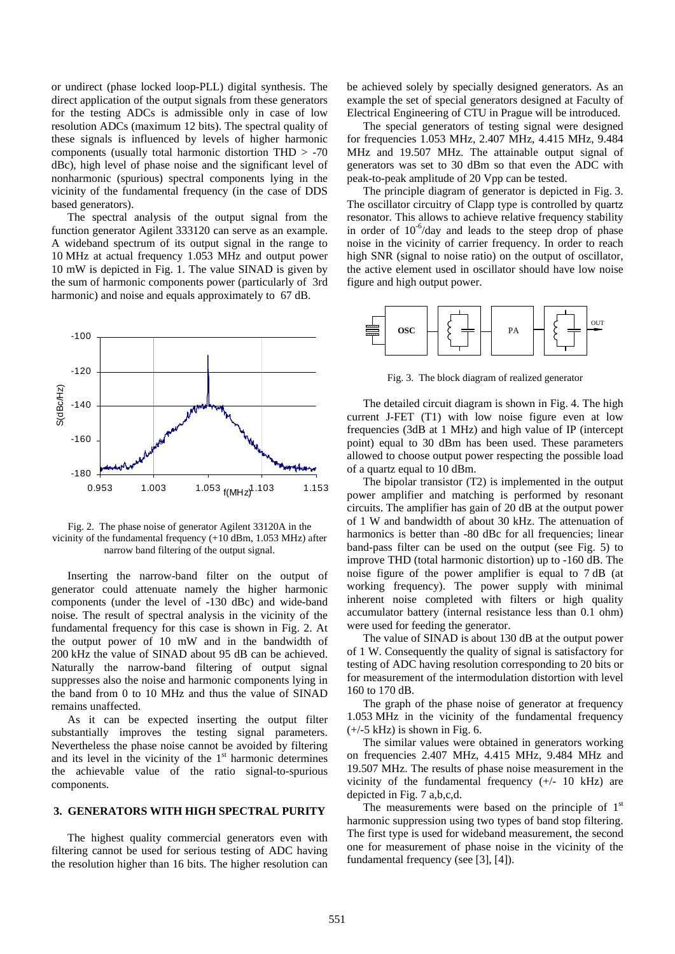or undirect (phase locked loop-PLL) digital synthesis. The direct application of the output signals from these generators for the testing ADCs is admissible only in case of low resolution ADCs (maximum 12 bits). The spectral quality of these signals is influenced by levels of higher harmonic components (usually total harmonic distortion THD > -70 dBc), high level of phase noise and the significant level of nonharmonic (spurious) spectral components lying in the vicinity of the fundamental frequency (in the case of DDS based generators).

The spectral analysis of the output signal from the function generator Agilent 333120 can serve as an example. A wideband spectrum of its output signal in the range to 10 MHz at actual frequency 1.053 MHz and output power 10 mW is depicted in Fig. 1. The value SINAD is given by the sum of harmonic components power (particularly of 3rd harmonic) and noise and equals approximately to 67 dB.



Fig. 2. The phase noise of generator Agilent 33120A in the vicinity of the fundamental frequency (+10 dBm, 1.053 MHz) after narrow band filtering of the output signal.

Inserting the narrow-band filter on the output of generator could attenuate namely the higher harmonic components (under the level of -130 dBc) and wide-band noise. The result of spectral analysis in the vicinity of the fundamental frequency for this case is shown in Fig. 2. At the output power of 10 mW and in the bandwidth of 200 kHz the value of SINAD about 95 dB can be achieved. Naturally the narrow-band filtering of output signal suppresses also the noise and harmonic components lying in the band from 0 to 10 MHz and thus the value of SINAD remains unaffected.

As it can be expected inserting the output filter substantially improves the testing signal parameters. Nevertheless the phase noise cannot be avoided by filtering and its level in the vicinity of the  $1<sup>st</sup>$  harmonic determines the achievable value of the ratio signal-to-spurious components.

## **3. GENERATORS WITH HIGH SPECTRAL PURITY**

The highest quality commercial generators even with filtering cannot be used for serious testing of ADC having the resolution higher than 16 bits. The higher resolution can be achieved solely by specially designed generators. As an example the set of special generators designed at Faculty of Electrical Engineering of CTU in Prague will be introduced.

The special generators of testing signal were designed for frequencies 1.053 MHz, 2.407 MHz, 4.415 MHz, 9.484 MHz and 19.507 MHz. The attainable output signal of generators was set to 30 dBm so that even the ADC with peak-to-peak amplitude of 20 Vpp can be tested.

The principle diagram of generator is depicted in Fig. 3. The oscillator circuitry of Clapp type is controlled by quartz resonator. This allows to achieve relative frequency stability in order of  $10^{-6}$ /day and leads to the steep drop of phase noise in the vicinity of carrier frequency. In order to reach high SNR (signal to noise ratio) on the output of oscillator, the active element used in oscillator should have low noise figure and high output power.



Fig. 3. The block diagram of realized generator

The detailed circuit diagram is shown in Fig. 4. The high current J-FET (T1) with low noise figure even at low frequencies (3dB at 1 MHz) and high value of IP (intercept point) equal to 30 dBm has been used. These parameters allowed to choose output power respecting the possible load of a quartz equal to 10 dBm.

The bipolar transistor (T2) is implemented in the output power amplifier and matching is performed by resonant circuits. The amplifier has gain of 20 dB at the output power of 1 W and bandwidth of about 30 kHz. The attenuation of harmonics is better than -80 dBc for all frequencies; linear band-pass filter can be used on the output (see Fig. 5) to improve THD (total harmonic distortion) up to -160 dB. The noise figure of the power amplifier is equal to 7 dB (at working frequency). The power supply with minimal inherent noise completed with filters or high quality accumulator battery (internal resistance less than 0.1 ohm) were used for feeding the generator.

The value of SINAD is about 130 dB at the output power of 1 W. Consequently the quality of signal is satisfactory for testing of ADC having resolution corresponding to 20 bits or for measurement of the intermodulation distortion with level 160 to 170 dB.

The graph of the phase noise of generator at frequency 1.053 MHz in the vicinity of the fundamental frequency  $(+/-5$  kHz) is shown in Fig. 6.

The similar values were obtained in generators working on frequencies 2.407 MHz, 4.415 MHz, 9.484 MHz and 19.507 MHz. The results of phase noise measurement in the vicinity of the fundamental frequency  $(+/- 10$  kHz) are depicted in Fig. 7 a,b,c,d.

The measurements were based on the principle of  $1<sup>st</sup>$ harmonic suppression using two types of band stop filtering. The first type is used for wideband measurement, the second one for measurement of phase noise in the vicinity of the fundamental frequency (see [3], [4]).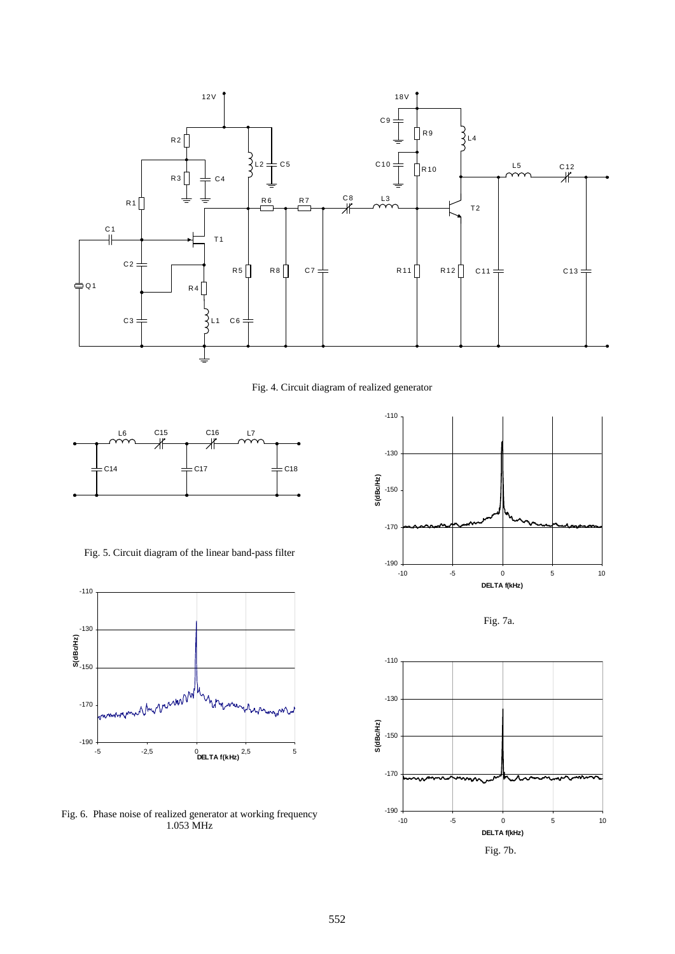

Fig. 4. Circuit diagram of realized generator



Fig. 5. Circuit diagram of the linear band-pass filter



Fig. 6. Phase noise of realized generator at working frequency 1.053 MHz



Fig. 7a.